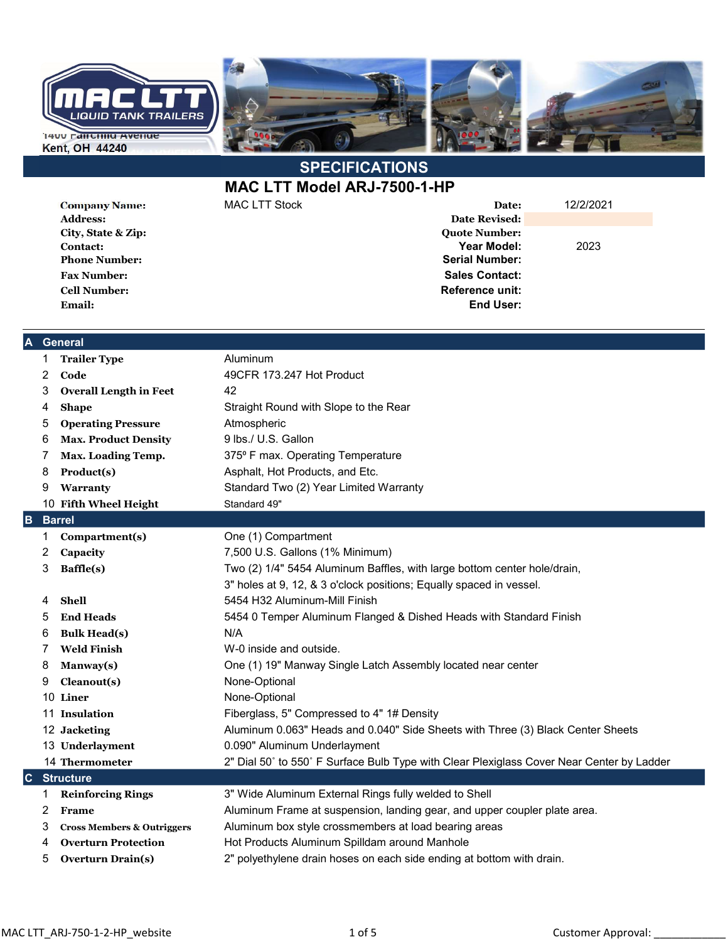

## **SPECIFICATIONS**

MAC LTT Model ARJ-7500-1-HP

Address: Date Revised: City, State & Zip: Quote Number: Phone Number: Serial Number: Fax Number: Sales Contact: Cell Number: Reference unit: Email: End User:

Company Name: MAC LTT Stock Date: 12/2/2021 Contact: Year Model: 2023

## A General

| 1                               | <b>Trailer Type</b>                   | Aluminum                                                                                  |  |  |  |
|---------------------------------|---------------------------------------|-------------------------------------------------------------------------------------------|--|--|--|
| 2                               | $\mathbf{Code}$                       | 49CFR 173.247 Hot Product                                                                 |  |  |  |
| 3                               | <b>Overall Length in Feet</b>         | 42                                                                                        |  |  |  |
| 4                               | <b>Shape</b>                          | Straight Round with Slope to the Rear                                                     |  |  |  |
| 5                               | <b>Operating Pressure</b>             | Atmospheric                                                                               |  |  |  |
| 6                               | <b>Max. Product Density</b>           | 9 lbs./ U.S. Gallon                                                                       |  |  |  |
| 7                               | Max. Loading Temp.                    | 375° F max. Operating Temperature                                                         |  |  |  |
| 8                               | Product(s)                            | Asphalt, Hot Products, and Etc.                                                           |  |  |  |
| 9                               | Warranty                              | Standard Two (2) Year Limited Warranty                                                    |  |  |  |
|                                 | 10 Fifth Wheel Height                 | Standard 49"                                                                              |  |  |  |
| B                               | <b>Barrel</b>                         |                                                                                           |  |  |  |
| 1                               | Compartment(s)                        | One (1) Compartment                                                                       |  |  |  |
| 2                               | Capacity                              | 7,500 U.S. Gallons (1% Minimum)                                                           |  |  |  |
| 3                               | Baffle(s)                             | Two (2) 1/4" 5454 Aluminum Baffles, with large bottom center hole/drain,                  |  |  |  |
|                                 |                                       | 3" holes at 9, 12, & 3 o'clock positions; Equally spaced in vessel.                       |  |  |  |
| 4                               | <b>Shell</b>                          | 5454 H32 Aluminum-Mill Finish                                                             |  |  |  |
| 5                               | <b>End Heads</b>                      | 5454 0 Temper Aluminum Flanged & Dished Heads with Standard Finish                        |  |  |  |
| 6                               | <b>Bulk Head(s)</b>                   | N/A                                                                                       |  |  |  |
| 7                               | <b>Weld Finish</b>                    | W-0 inside and outside.                                                                   |  |  |  |
| 8                               | Manway(s)                             | One (1) 19" Manway Single Latch Assembly located near center                              |  |  |  |
| 9                               | Cleanout(s)                           | None-Optional                                                                             |  |  |  |
|                                 | 10 Liner                              | None-Optional                                                                             |  |  |  |
|                                 | 11 Insulation                         | Fiberglass, 5" Compressed to 4" 1# Density                                                |  |  |  |
|                                 | 12 Jacketing                          | Aluminum 0.063" Heads and 0.040" Side Sheets with Three (3) Black Center Sheets           |  |  |  |
|                                 | 13 Underlayment                       | 0.090" Aluminum Underlayment                                                              |  |  |  |
|                                 | 14 Thermometer                        | 2" Dial 50° to 550° F Surface Bulb Type with Clear Plexiglass Cover Near Center by Ladder |  |  |  |
| $ {\bf c} $<br><b>Structure</b> |                                       |                                                                                           |  |  |  |
| 1                               | <b>Reinforcing Rings</b>              | 3" Wide Aluminum External Rings fully welded to Shell                                     |  |  |  |
| 2                               | Frame                                 | Aluminum Frame at suspension, landing gear, and upper coupler plate area.                 |  |  |  |
| 3                               | <b>Cross Members &amp; Outriggers</b> | Aluminum box style crossmembers at load bearing areas                                     |  |  |  |
| 4                               | <b>Overturn Protection</b>            | Hot Products Aluminum Spilldam around Manhole                                             |  |  |  |
| 5                               | <b>Overturn Drain(s)</b>              | 2" polyethylene drain hoses on each side ending at bottom with drain.                     |  |  |  |
|                                 |                                       |                                                                                           |  |  |  |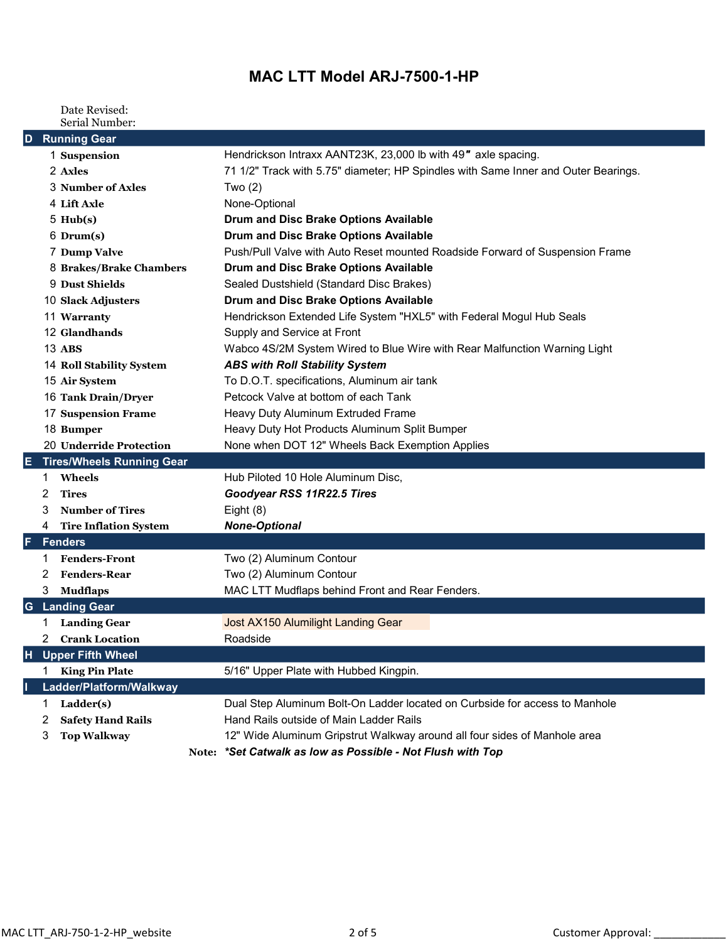## MAC LTT Model ARJ-7500-1-HP

Date Revised: Serial Number:

| D  |                | <b>Running Gear</b>              |                                                                                    |
|----|----------------|----------------------------------|------------------------------------------------------------------------------------|
|    |                | 1 Suspension                     | Hendrickson Intraxx AANT23K, 23,000 lb with 49" axle spacing.                      |
|    |                | 2 Axles                          | 71 1/2" Track with 5.75" diameter; HP Spindles with Same Inner and Outer Bearings. |
|    |                | 3 Number of Axles                | Two $(2)$                                                                          |
|    |                | 4 Lift Axle                      | None-Optional                                                                      |
|    |                | $5 \text{ Hub}(s)$               | Drum and Disc Brake Options Available                                              |
|    |                | $6$ Drum $(s)$                   | Drum and Disc Brake Options Available                                              |
|    |                | 7 Dump Valve                     | Push/Pull Valve with Auto Reset mounted Roadside Forward of Suspension Frame       |
|    |                | 8 Brakes/Brake Chambers          | Drum and Disc Brake Options Available                                              |
|    |                | 9 Dust Shields                   | Sealed Dustshield (Standard Disc Brakes)                                           |
|    |                | 10 Slack Adjusters               | Drum and Disc Brake Options Available                                              |
|    |                | 11 Warranty                      | Hendrickson Extended Life System "HXL5" with Federal Mogul Hub Seals               |
|    |                | 12 Glandhands                    | Supply and Service at Front                                                        |
|    |                | 13 ABS                           | Wabco 4S/2M System Wired to Blue Wire with Rear Malfunction Warning Light          |
|    |                | 14 Roll Stability System         | <b>ABS with Roll Stability System</b>                                              |
|    |                | 15 Air System                    | To D.O.T. specifications, Aluminum air tank                                        |
|    |                | 16 Tank Drain/Dryer              | Petcock Valve at bottom of each Tank                                               |
|    |                | <b>17 Suspension Frame</b>       | Heavy Duty Aluminum Extruded Frame                                                 |
|    |                | 18 Bumper                        | Heavy Duty Hot Products Aluminum Split Bumper                                      |
|    |                | 20 Underride Protection          | None when DOT 12" Wheels Back Exemption Applies                                    |
| E. |                | <b>Tires/Wheels Running Gear</b> |                                                                                    |
|    | 1.             | Wheels                           | Hub Piloted 10 Hole Aluminum Disc,                                                 |
|    | 2              | <b>Tires</b>                     | Goodyear RSS 11R22.5 Tires                                                         |
|    | 3              | <b>Number of Tires</b>           | Eight (8)                                                                          |
|    | 4              | <b>Tire Inflation System</b>     | <b>None-Optional</b>                                                               |
| F  |                | <b>Fenders</b>                   |                                                                                    |
|    | 1.             | <b>Fenders-Front</b>             | Two (2) Aluminum Contour                                                           |
|    | 2              | <b>Fenders-Rear</b>              | Two (2) Aluminum Contour                                                           |
|    | 3              | <b>Mudflaps</b>                  | MAC LTT Mudflaps behind Front and Rear Fenders.                                    |
| G  |                | <b>Landing Gear</b>              |                                                                                    |
|    | 1.             | <b>Landing Gear</b>              | Jost AX150 Alumilight Landing Gear                                                 |
|    | $\overline{2}$ | <b>Crank Location</b>            | Roadside                                                                           |
|    |                | <b>H</b> Upper Fifth Wheel       |                                                                                    |
|    | 1.             | <b>King Pin Plate</b>            | 5/16" Upper Plate with Hubbed Kingpin.                                             |
|    |                | Ladder/Platform/Walkway          |                                                                                    |
|    | 1.             | Ladder(s)                        | Dual Step Aluminum Bolt-On Ladder located on Curbside for access to Manhole        |
|    | 2              | <b>Safety Hand Rails</b>         | Hand Rails outside of Main Ladder Rails                                            |
|    | 3              | <b>Top Walkway</b>               | 12" Wide Aluminum Gripstrut Walkway around all four sides of Manhole area          |
|    |                |                                  | Note: *Set Catwalk as low as Possible - Not Flush with Top                         |